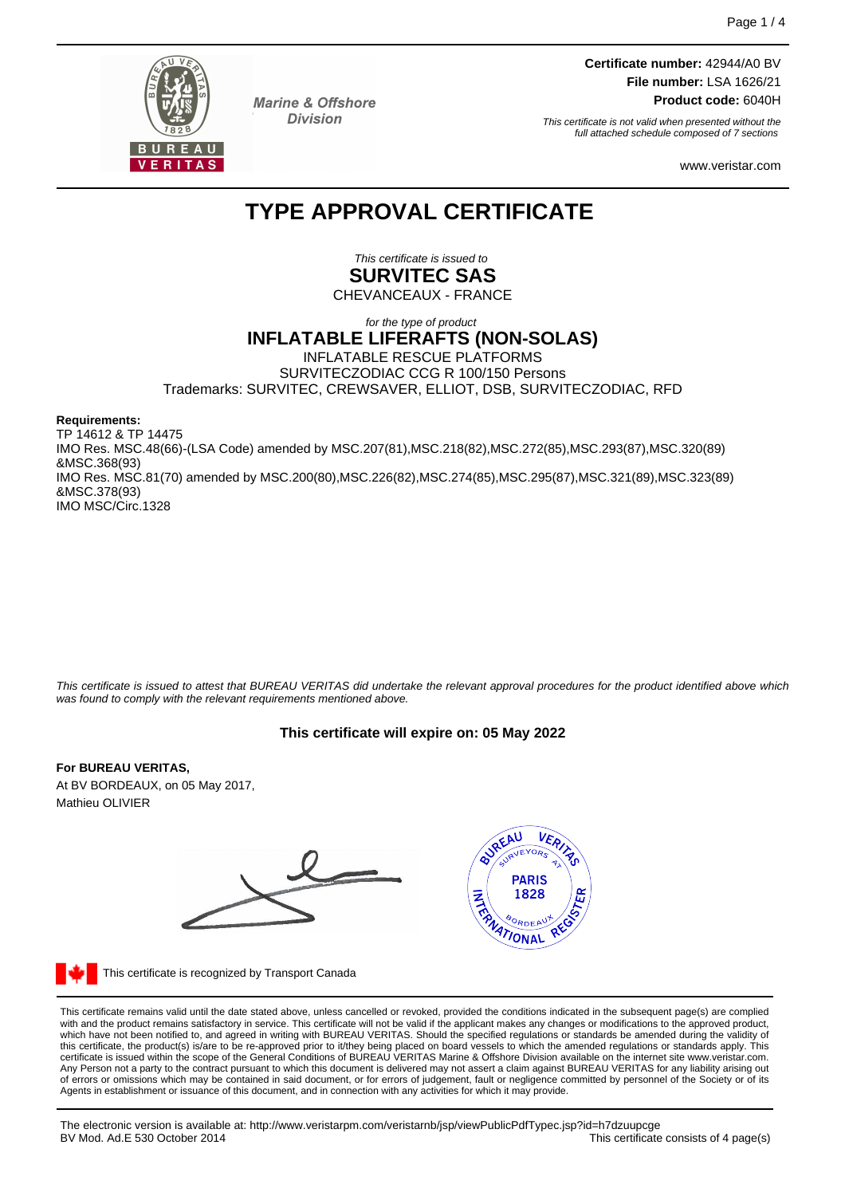

**Marine & Offshore Division** 

**Certificate number:** 42944/A0 BV **File number:** LSA 1626/21 **Product code:** 6040H

This certificate is not valid when presented without the full attached schedule composed of 7 sections

www.veristar.com

# **TYPE APPROVAL CERTIFICATE**

This certificate is issued to **SURVITEC SAS**

CHEVANCEAUX - FRANCE

#### for the type of product **INFLATABLE LIFERAFTS (NON-SOLAS)** INFLATABLE RESCUE PLATFORMS SURVITECZODIAC CCG R 100/150 Persons Trademarks: SURVITEC, CREWSAVER, ELLIOT, DSB, SURVITECZODIAC, RFD

**Requirements:**

TP 14612 & TP 14475 IMO Res. MSC.48(66)-(LSA Code) amended by MSC.207(81),MSC.218(82),MSC.272(85),MSC.293(87),MSC.320(89) &MSC.368(93) IMO Res. MSC.81(70) amended by MSC.200(80),MSC.226(82),MSC.274(85),MSC.295(87),MSC.321(89),MSC.323(89) &MSC.378(93) IMO MSC/Circ.1328

This certificate is issued to attest that BUREAU VERITAS did undertake the relevant approval procedures for the product identified above which was found to comply with the relevant requirements mentioned above.

# **This certificate will expire on: 05 May 2022**

#### **For BUREAU VERITAS,**

At BV BORDEAUX, on 05 May 2017, Mathieu OLIVIER





This certificate is recognized by Transport Canada

This certificate remains valid until the date stated above, unless cancelled or revoked, provided the conditions indicated in the subsequent page(s) are complied with and the product remains satisfactory in service. This certificate will not be valid if the applicant makes any changes or modifications to the approved product, which have not been notified to, and agreed in writing with BUREAU VERITAS. Should the specified regulations or standards be amended during the validity of<br>this certificate, the product(s) is/are to be re-approved prior to Any Person not a party to the contract pursuant to which this document is delivered may not assert a claim against BUREAU VERITAS for any liability arising out of errors or omissions which may be contained in said document, or for errors of judgement, fault or negligence committed by personnel of the Society or of its Agents in establishment or issuance of this document, and in connection with any activities for which it may provide.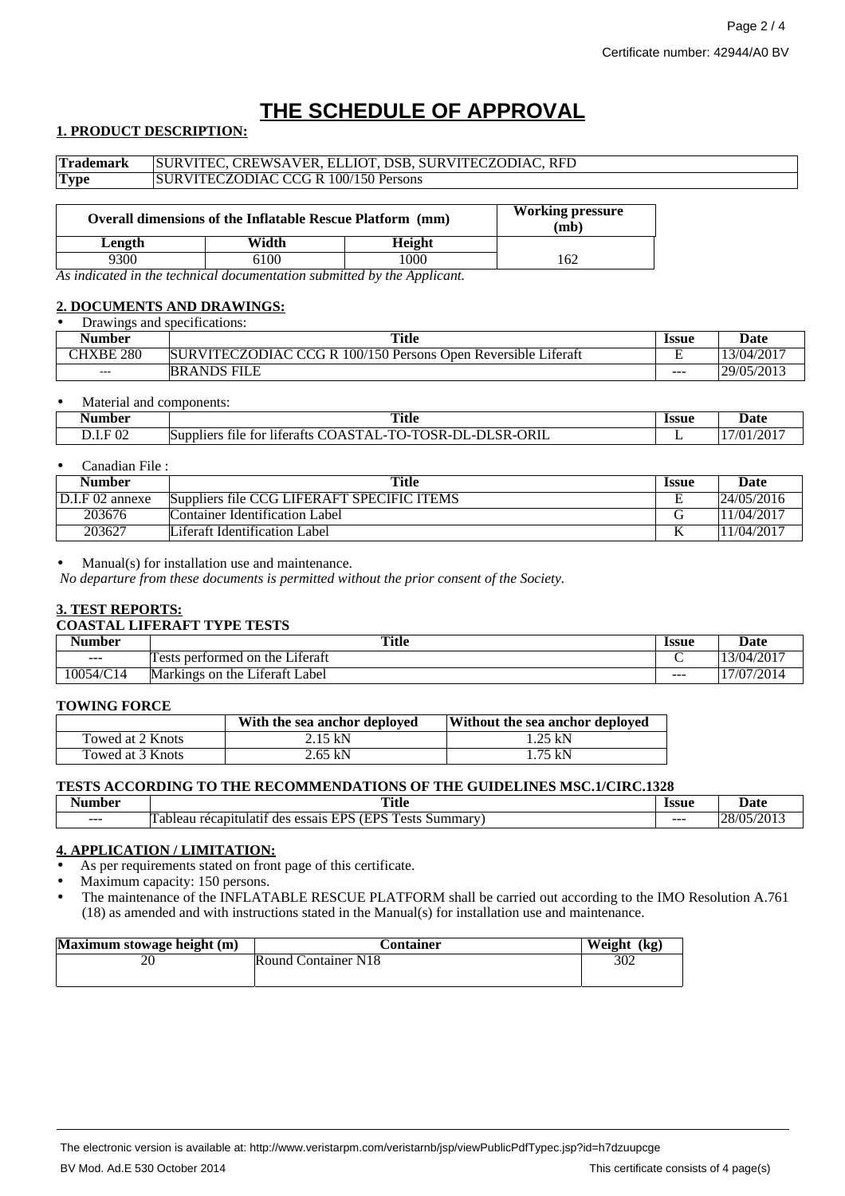# **THE SCHEDULE OF APPROVAL**

## **1. PRODUCT DESCRIPTION:**

| <b>Trademark</b> | SURVITEC, CREWSAVER, ELLIOT, DSB, SURVITECZODIAC, RFD |                                                                  |        |                                 |  |
|------------------|-------------------------------------------------------|------------------------------------------------------------------|--------|---------------------------------|--|
| <b>Type</b>      | SURVITECZODIAC CCG R 100/150 Persons                  |                                                                  |        |                                 |  |
|                  |                                                       | <b>Overall dimensions of the Inflatable Rescue Platform (mm)</b> |        | <b>Working pressure</b><br>(mb) |  |
| Length           |                                                       | Width                                                            | Height |                                 |  |

9300 6100 1000 162

*As indicated in the technical documentation submitted by the Applicant.*

#### **2. DOCUMENTS AND DRAWINGS: Drawings and specifications:**

| Drawilles and specifications. |                                                               |         |            |  |
|-------------------------------|---------------------------------------------------------------|---------|------------|--|
| Number                        | <b>Title</b>                                                  | Issue   | Date       |  |
| CHXBE 280                     | SURVITECZODIAC CCG R 100/150 Persons Open Reversible Liferaft | . .     | 13/04/2017 |  |
| $- - -$                       | <b>BRANDS FILE</b>                                            | $- - -$ | 29/05/2013 |  |

#### Material and components:

| √umber                                         | <b>Title</b>                                                                                                                                        | Issue<br>. | Date          |
|------------------------------------------------|-----------------------------------------------------------------------------------------------------------------------------------------------------|------------|---------------|
| 02<br>E<br>the contract of the contract of the | ORIL<br>$\sim$<br>DΙ<br>$\alpha$ r<br>$\mathbf{m}$<br>$\sim$<br>``<br>м<br>†∩r<br>– Supplier<br>-litera.<br>tile.<br>. .<br>., K-L<br>``<br><br>. . | -          | /2017<br>7/01 |

#### • Canadian File :

| Number          | <b>Title</b>                               | <b>Issue</b> | Date       |
|-----------------|--------------------------------------------|--------------|------------|
| D.I.F 02 annexe | Suppliers file CCG LIFERAFT SPECIFIC ITEMS | ∸            | 24/05/2016 |
| 203676          | Container Identification Label             |              | 1/04/2017  |
| 203627          | Liferaft Identification Label              |              | 1/04/2017  |

#### $Manual(s)$  for installation use and maintenance.

*No departure from these documents is permitted without the prior consent of the Society.*

#### **3. TEST REPORTS:**

#### **COASTAL LIFERAFT TYPE TESTS**

| $\sim$<br>Number | <b>Title</b>                                                 | Issue   | Date          |
|------------------|--------------------------------------------------------------|---------|---------------|
| $- - -$          | $\cdot$ $\sim$<br>performed on<br>Literatt<br>the<br>ests    |         | /2017<br>3/04 |
| 10054/C14        | $\cdot$ $\sim$<br>Label<br>Markings<br>∟iteratt<br>the<br>on | $- - -$ | '7/07/2014    |

#### **TOWING FORCE**

|                  | With the sea anchor deployed | Without the sea anchor deployed |
|------------------|------------------------------|---------------------------------|
| Towed at 2 Knots | 2.15 kN                      | $1.25$ kN                       |
| Towed at 3 Knots | 2.65 kN                      | 1.75 kN                         |

### **TESTS ACCORDING TO THE RECOMMENDATIONS OF THE GUIDELINES MSC.1/CIRC.1328**

| ım her  | <br>Title<br>----                                                      | Issue   | Jate     |
|---------|------------------------------------------------------------------------|---------|----------|
| $- - -$ | -<br>(TDC)<br>7DC<br>ests<br>essai:<br>des<br>alea.<br>m<br>пна<br>wur | $- - -$ | 20<br>ിധ |

### **4. APPLICATION / LIMITATION:**

As per requirements stated on front page of this certificate.

Maximum capacity: 150 persons.

• The maintenance of the INFLATABLE RESCUE PLATFORM shall be carried out according to the IMO Resolution A.761 (18) as amended and with instructions stated in the Manual(s) for installation use and maintenance.

| Maximum stowage height (m) | Container           | Weight (kg) |
|----------------------------|---------------------|-------------|
|                            | Round Container N18 | 302         |
|                            |                     |             |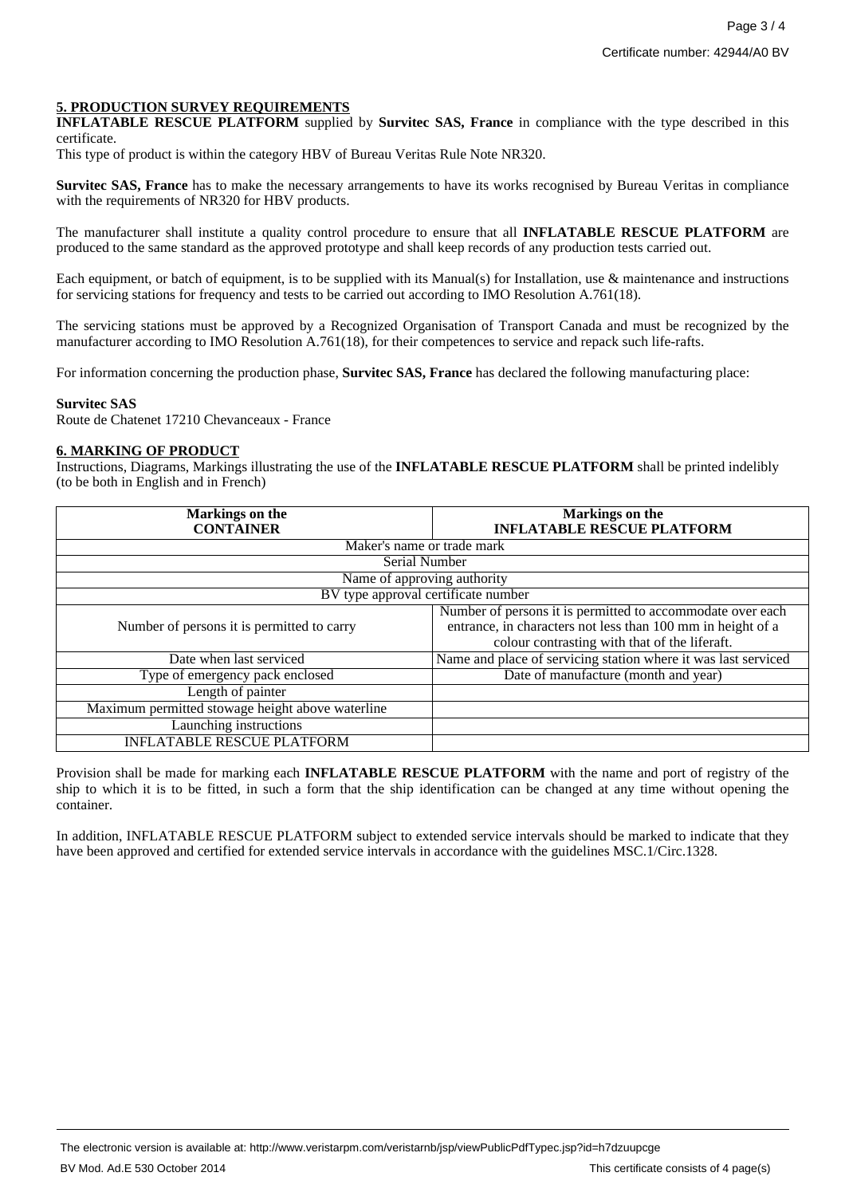#### **5. PRODUCTION SURVEY REQUIREMENTS**

**INFLATABLE RESCUE PLATFORM** supplied by **Survitec SAS, France** in compliance with the type described in this certificate.

This type of product is within the category HBV of Bureau Veritas Rule Note NR320.

**Survitec SAS, France** has to make the necessary arrangements to have its works recognised by Bureau Veritas in compliance with the requirements of NR320 for HBV products.

The manufacturer shall institute a quality control procedure to ensure that all **INFLATABLE RESCUE PLATFORM** are produced to the same standard as the approved prototype and shall keep records of any production tests carried out.

Each equipment, or batch of equipment, is to be supplied with its Manual(s) for Installation, use & maintenance and instructions for servicing stations for frequency and tests to be carried out according to IMO Resolution A.761(18).

The servicing stations must be approved by a Recognized Organisation of Transport Canada and must be recognized by the manufacturer according to IMO Resolution A.761(18), for their competences to service and repack such life-rafts.

For information concerning the production phase, **Survitec SAS, France** has declared the following manufacturing place:

#### **Survitec SAS**

Route de Chatenet 17210 Chevanceaux - France

#### **6. MARKING OF PRODUCT**

Instructions, Diagrams, Markings illustrating the use of the **INFLATABLE RESCUE PLATFORM** shall be printed indelibly (to be both in English and in French)

| <b>Markings</b> on the                           | Markings on the                                                |
|--------------------------------------------------|----------------------------------------------------------------|
| <b>CONTAINER</b>                                 | <b>INFLATABLE RESCUE PLATFORM</b>                              |
| Maker's name or trade mark                       |                                                                |
| Serial Number                                    |                                                                |
| Name of approving authority                      |                                                                |
| BV type approval certificate number              |                                                                |
|                                                  | Number of persons it is permitted to accommodate over each     |
| Number of persons it is permitted to carry       | entrance, in characters not less than 100 mm in height of a    |
|                                                  | colour contrasting with that of the liferaft.                  |
| Date when last serviced                          | Name and place of servicing station where it was last serviced |
| Type of emergency pack enclosed                  | Date of manufacture (month and year)                           |
| Length of painter                                |                                                                |
| Maximum permitted stowage height above waterline |                                                                |
| Launching instructions                           |                                                                |
| <b>INFLATABLE RESCUE PLATFORM</b>                |                                                                |

Provision shall be made for marking each **INFLATABLE RESCUE PLATFORM** with the name and port of registry of the ship to which it is to be fitted, in such a form that the ship identification can be changed at any time without opening the container.

In addition, INFLATABLE RESCUE PLATFORM subject to extended service intervals should be marked to indicate that they have been approved and certified for extended service intervals in accordance with the guidelines MSC.1/Circ.1328.